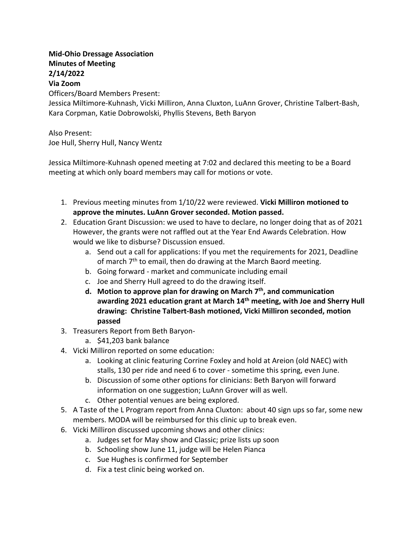## **Mid-Ohio Dressage Association Minutes of Meeting 2/14/2022 Via Zoom**

Officers/Board Members Present:

Jessica Miltimore-Kuhnash, Vicki Milliron, Anna Cluxton, LuAnn Grover, Christine Talbert-Bash, Kara Corpman, Katie Dobrowolski, Phyllis Stevens, Beth Baryon

Also Present: Joe Hull, Sherry Hull, Nancy Wentz

Jessica Miltimore-Kuhnash opened meeting at 7:02 and declared this meeting to be a Board meeting at which only board members may call for motions or vote.

- 1. Previous meeting minutes from 1/10/22 were reviewed. **Vicki Milliron motioned to approve the minutes. LuAnn Grover seconded. Motion passed.**
- 2. Education Grant Discussion: we used to have to declare, no longer doing that as of 2021 However, the grants were not raffled out at the Year End Awards Celebration. How would we like to disburse? Discussion ensued.
	- a. Send out a call for applications: If you met the requirements for 2021, Deadline of march  $7<sup>th</sup>$  to email, then do drawing at the March Baord meeting.
	- b. Going forward market and communicate including email
	- c. Joe and Sherry Hull agreed to do the drawing itself.
	- **d. Motion to approve plan for drawing on March 7th, and communication awarding 2021 education grant at March 14th meeting, with Joe and Sherry Hull drawing: Christine Talbert-Bash motioned, Vicki Milliron seconded, motion passed**
- 3. Treasurers Report from Beth Baryon
	- a. \$41,203 bank balance
- 4. Vicki Milliron reported on some education:
	- a. Looking at clinic featuring Corrine Foxley and hold at Areion (old NAEC) with stalls, 130 per ride and need 6 to cover - sometime this spring, even June.
	- b. Discussion of some other options for clinicians: Beth Baryon will forward information on one suggestion; LuAnn Grover will as well.
	- c. Other potential venues are being explored.
- 5. A Taste of the L Program report from Anna Cluxton: about 40 sign ups so far, some new members. MODA will be reimbursed for this clinic up to break even.
- 6. Vicki Milliron discussed upcoming shows and other clinics:
	- a. Judges set for May show and Classic; prize lists up soon
	- b. Schooling show June 11, judge will be Helen Pianca
	- c. Sue Hughes is confirmed for September
	- d. Fix a test clinic being worked on.